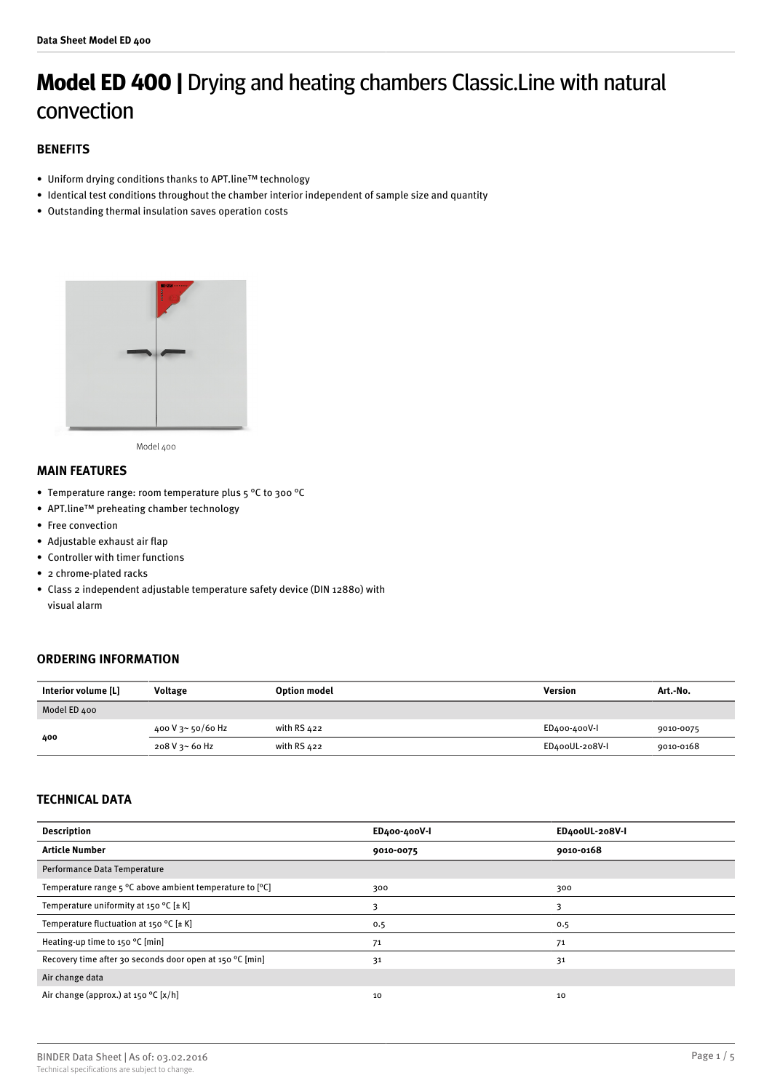# **Model ED 400 |** Drying and heating chambers Classic.Line with natural convection

# **BENEFITS**

- Uniform drying conditions thanks to APT.line™ technology
- Identical test conditions throughout the chamber interior independent of sample size and quantity
- Outstanding thermal insulation saves operation costs



Model 400

## **MAIN FEATURES**

- Temperature range: room temperature plus 5 °C to 300 °C
- APT.line™ preheating chamber technology
- Free convection
- Adjustable exhaust air flap
- Controller with timer functions
- 2 chrome-plated racks
- Class 2 independent adjustable temperature safety device (DIN 12880) with visual alarm

# **ORDERING INFORMATION**

| Interior volume [L] | <b>Voltage</b>    | Option model  | Version        | Art.-No.  |
|---------------------|-------------------|---------------|----------------|-----------|
| Model ED 400        |                   |               |                |           |
| 400                 | 400 V 3~ 50/60 Hz | with RS $422$ | ED400-400V-I   | 9010-0075 |
|                     | 208 V 3~ 60 Hz    | with RS 422   | ED400UL-208V-I | 9010-0168 |

# **TECHNICAL DATA**

| <b>Description</b>                                                         | ED400-400V-I | ED400UL-208V-I |
|----------------------------------------------------------------------------|--------------|----------------|
| <b>Article Number</b>                                                      | 9010-0075    | 9010-0168      |
| Performance Data Temperature                                               |              |                |
| Temperature range $5^{\circ}$ C above ambient temperature to $[^{\circ}C]$ | 300          | 300            |
| Temperature uniformity at 150 °C [ $\pm$ K]                                | 3            |                |
| Temperature fluctuation at 150 °C $[\pm K]$                                | 0.5          | 0.5            |
| Heating-up time to 150 °C [min]                                            | 71           | 71             |
| Recovery time after 30 seconds door open at 150 °C [min]                   | 31           | 31             |
| Air change data                                                            |              |                |
| Air change (approx.) at 150 °C [x/h]                                       | 10           | 10             |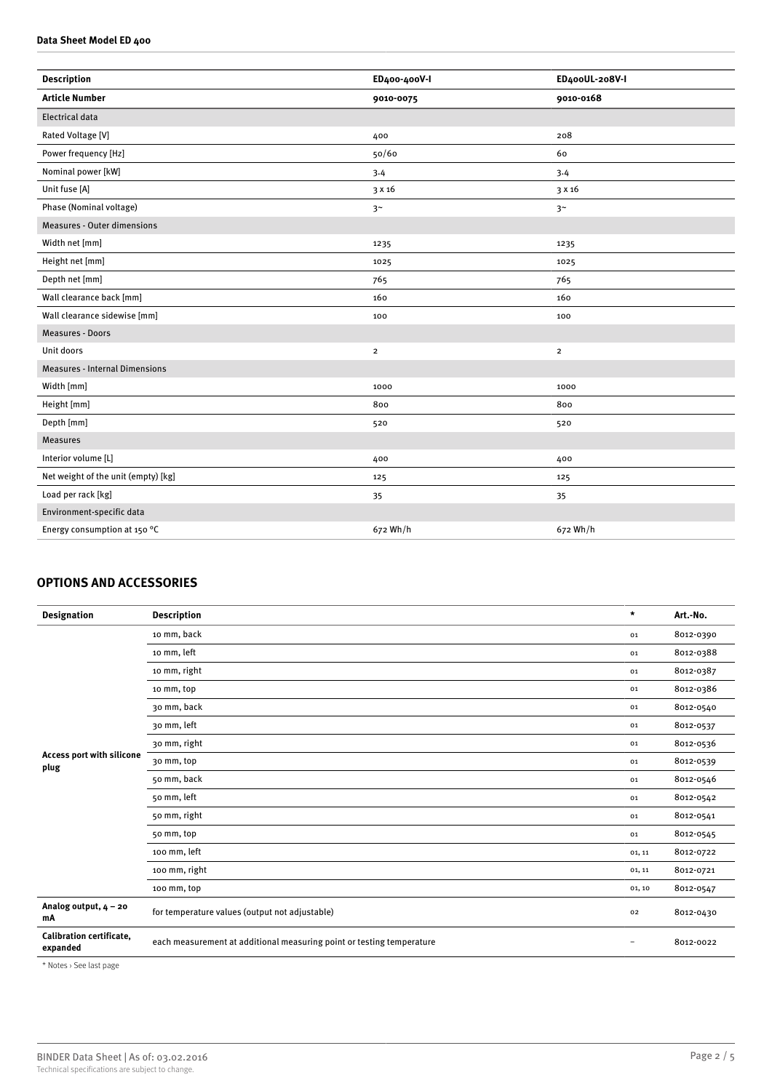#### **Data Sheet Model ED 400**

| <b>Description</b>                    | ED400-400V-I   | ED400UL-208V-I |
|---------------------------------------|----------------|----------------|
| <b>Article Number</b>                 | 9010-0075      | 9010-0168      |
| <b>Electrical data</b>                |                |                |
| Rated Voltage [V]                     | 400            | 208            |
| Power frequency [Hz]                  | 50/60          | 60             |
| Nominal power [kW]                    | 3.4            | 3.4            |
| Unit fuse [A]                         | 3 x 16         | 3 x 16         |
| Phase (Nominal voltage)               | 3 <sup>~</sup> | 3 <sup>~</sup> |
| <b>Measures - Outer dimensions</b>    |                |                |
| Width net [mm]                        | 1235           | 1235           |
| Height net [mm]                       | 1025           | 1025           |
| Depth net [mm]                        | 765            | 765            |
| Wall clearance back [mm]              | 160            | 160            |
| Wall clearance sidewise [mm]          | 100            | 100            |
| <b>Measures - Doors</b>               |                |                |
| Unit doors                            | $\overline{2}$ | $\overline{2}$ |
| <b>Measures - Internal Dimensions</b> |                |                |
| Width [mm]                            | 1000           | 1000           |
| Height [mm]                           | 800            | 800            |
| Depth [mm]                            | 520            | 520            |
| <b>Measures</b>                       |                |                |
| Interior volume [L]                   | 400            | 400            |
| Net weight of the unit (empty) [kg]   | 125            | 125            |
| Load per rack [kg]                    | 35             | 35             |
| Environment-specific data             |                |                |
| Energy consumption at 150 °C          | 672 Wh/h       | 672 Wh/h       |
|                                       |                |                |

# **OPTIONS AND ACCESSORIES**

| <b>Designation</b>                          | <b>Description</b>                                                    | $\star$                  | Art.-No.  |
|---------------------------------------------|-----------------------------------------------------------------------|--------------------------|-----------|
|                                             | 10 mm, back                                                           | 01                       | 8012-0390 |
|                                             | 10 mm, left                                                           | 01                       | 8012-0388 |
|                                             | 10 mm, right                                                          | 01                       | 8012-0387 |
|                                             | 10 mm, top                                                            | 01                       | 8012-0386 |
|                                             | 30 mm, back                                                           | 01                       | 8012-0540 |
|                                             | 30 mm, left                                                           | 01                       | 8012-0537 |
|                                             | 30 mm, right                                                          | 01                       | 8012-0536 |
| Access port with silicone<br>plug           | 30 mm, top                                                            | 01                       | 8012-0539 |
|                                             | 50 mm, back                                                           | 01                       | 8012-0546 |
|                                             | 50 mm, left                                                           | 01                       | 8012-0542 |
|                                             | 50 mm, right                                                          | 01                       | 8012-0541 |
|                                             | 50 mm, top                                                            | 01                       | 8012-0545 |
|                                             | 100 mm, left                                                          | 01, 11                   | 8012-0722 |
|                                             | 100 mm, right                                                         | 01, 11                   | 8012-0721 |
|                                             | 100 mm, top                                                           | 01, 10                   | 8012-0547 |
| Analog output, $4 - 20$<br>mA               | for temperature values (output not adjustable)                        | 02                       | 8012-0430 |
| <b>Calibration certificate,</b><br>expanded | each measurement at additional measuring point or testing temperature | $\overline{\phantom{0}}$ | 8012-0022 |

\* Notes › See last page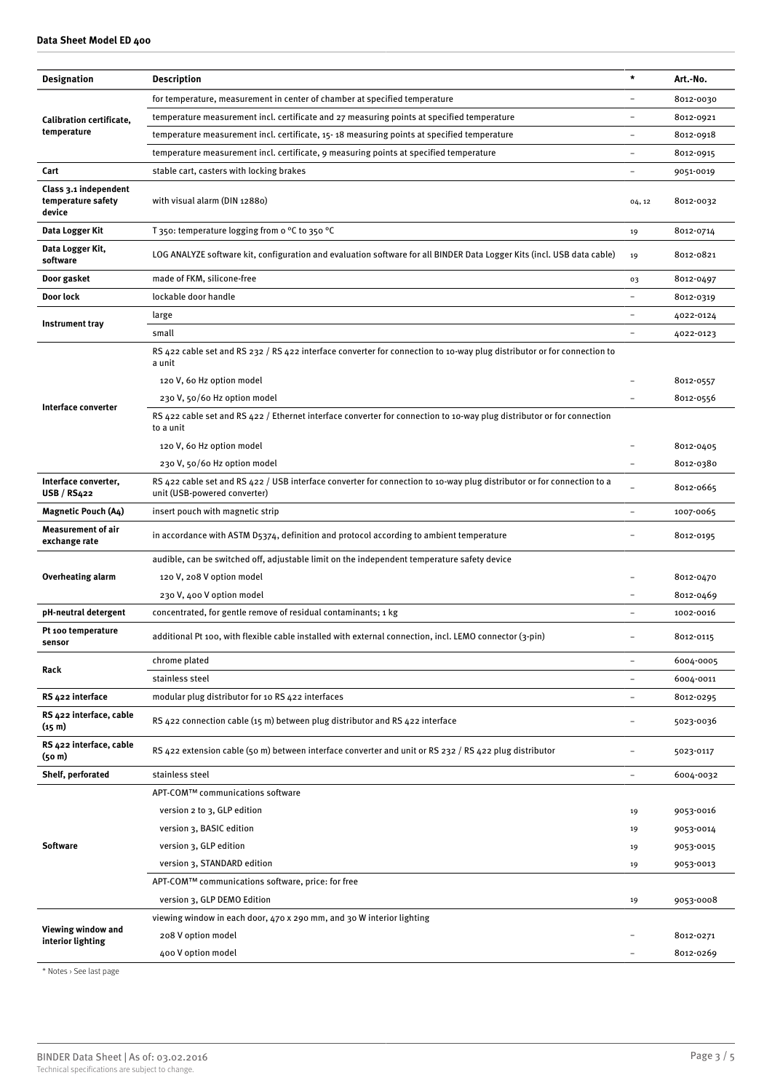|                                                       |                                                                                                                                                        | $\star$                  |           |
|-------------------------------------------------------|--------------------------------------------------------------------------------------------------------------------------------------------------------|--------------------------|-----------|
| <b>Designation</b>                                    | Description                                                                                                                                            |                          | Art.-No.  |
|                                                       | for temperature, measurement in center of chamber at specified temperature                                                                             | $\overline{\phantom{0}}$ | 8012-0030 |
| Calibration certificate,                              | temperature measurement incl. certificate and 27 measuring points at specified temperature                                                             |                          | 8012-0921 |
| temperature                                           | temperature measurement incl. certificate, 15-18 measuring points at specified temperature                                                             |                          | 8012-0918 |
|                                                       | temperature measurement incl. certificate, 9 measuring points at specified temperature                                                                 | $\overline{\phantom{0}}$ | 8012-0915 |
| Cart                                                  | stable cart, casters with locking brakes                                                                                                               |                          | 9051-0019 |
| Class 3.1 independent<br>temperature safety<br>device | with visual alarm (DIN 12880)                                                                                                                          |                          | 8012-0032 |
| Data Logger Kit                                       | T 350: temperature logging from o $\degree$ C to 350 $\degree$ C                                                                                       | 19                       | 8012-0714 |
| Data Logger Kit,<br>software                          | LOG ANALYZE software kit, configuration and evaluation software for all BINDER Data Logger Kits (incl. USB data cable)                                 | 19                       | 8012-0821 |
| Door gasket                                           | made of FKM, silicone-free                                                                                                                             | 03                       | 8012-0497 |
| Door lock                                             | lockable door handle                                                                                                                                   |                          | 8012-0319 |
|                                                       | large                                                                                                                                                  |                          | 4022-0124 |
| Instrument tray                                       | small                                                                                                                                                  |                          | 4022-0123 |
|                                                       | RS 422 cable set and RS 232 / RS 422 interface converter for connection to 10-way plug distributor or for connection to<br>a unit                      |                          |           |
|                                                       | 120 V, 60 Hz option model                                                                                                                              |                          | 8012-0557 |
|                                                       | 230 V, 50/60 Hz option model                                                                                                                           |                          | 8012-0556 |
| Interface converter                                   | RS 422 cable set and RS 422 / Ethernet interface converter for connection to 10-way plug distributor or for connection<br>to a unit                    |                          |           |
|                                                       | 120 V, 60 Hz option model                                                                                                                              |                          | 8012-0405 |
|                                                       | 230 V, 50/60 Hz option model                                                                                                                           |                          | 8012-0380 |
| Interface converter,<br>USB/RS422                     | RS 422 cable set and RS 422 / USB interface converter for connection to 10-way plug distributor or for connection to a<br>unit (USB-powered converter) |                          | 8012-0665 |
| <b>Magnetic Pouch (A4)</b>                            | insert pouch with magnetic strip                                                                                                                       | $\overline{\phantom{0}}$ | 1007-0065 |
| Measurement of air<br>exchange rate                   | in accordance with ASTM D5374, definition and protocol according to ambient temperature                                                                |                          | 8012-0195 |
|                                                       | audible, can be switched off, adjustable limit on the independent temperature safety device                                                            |                          |           |
| <b>Overheating alarm</b>                              | 120 V, 208 V option model                                                                                                                              |                          | 8012-0470 |
|                                                       | 230 V, 400 V option model                                                                                                                              |                          | 8012-0469 |
| pH-neutral detergent                                  | concentrated, for gentle remove of residual contaminants; 1 kg                                                                                         |                          | 1002-0016 |
| Pt 100 temperature<br>sensor                          | additional Pt 100, with flexible cable installed with external connection, incl. LEMO connector (3-pin)                                                |                          | 8012-0115 |
|                                                       | chrome plated                                                                                                                                          | $\overline{\phantom{0}}$ | 6004-0005 |
| Rack                                                  | stainless steel                                                                                                                                        |                          | 6004-0011 |
| RS 422 interface                                      | modular plug distributor for 10 RS 422 interfaces                                                                                                      | $\overline{\phantom{a}}$ | 8012-0295 |
| RS 422 interface, cable<br>(15 <sub>m</sub> )         | RS 422 connection cable (15 m) between plug distributor and RS 422 interface                                                                           |                          | 5023-0036 |
| RS 422 interface, cable<br>(50 <sub>m</sub> )         | RS 422 extension cable (50 m) between interface converter and unit or RS 232 / RS 422 plug distributor                                                 |                          | 5023-0117 |
| Shelf, perforated                                     | stainless steel                                                                                                                                        | $\qquad \qquad -$        | 6004-0032 |
| <b>Software</b>                                       | APT-COM™ communications software                                                                                                                       |                          |           |
|                                                       | version 2 to 3, GLP edition                                                                                                                            | 19                       | 9053-0016 |
|                                                       | version 3, BASIC edition                                                                                                                               | 19                       | 9053-0014 |
|                                                       | version 3, GLP edition                                                                                                                                 | 19                       | 9053-0015 |
|                                                       | version 3, STANDARD edition                                                                                                                            | 19                       | 9053-0013 |
|                                                       | APT-COM™ communications software, price: for free                                                                                                      |                          |           |
|                                                       | version 3, GLP DEMO Edition                                                                                                                            | 19                       | 9053-0008 |
| Viewing window and<br>interior lighting               | viewing window in each door, 470 x 290 mm, and 30 W interior lighting                                                                                  |                          |           |
|                                                       | 208 V option model                                                                                                                                     |                          | 8012-0271 |
|                                                       | 400 V option model                                                                                                                                     |                          | 8012-0269 |

\* Notes › See last page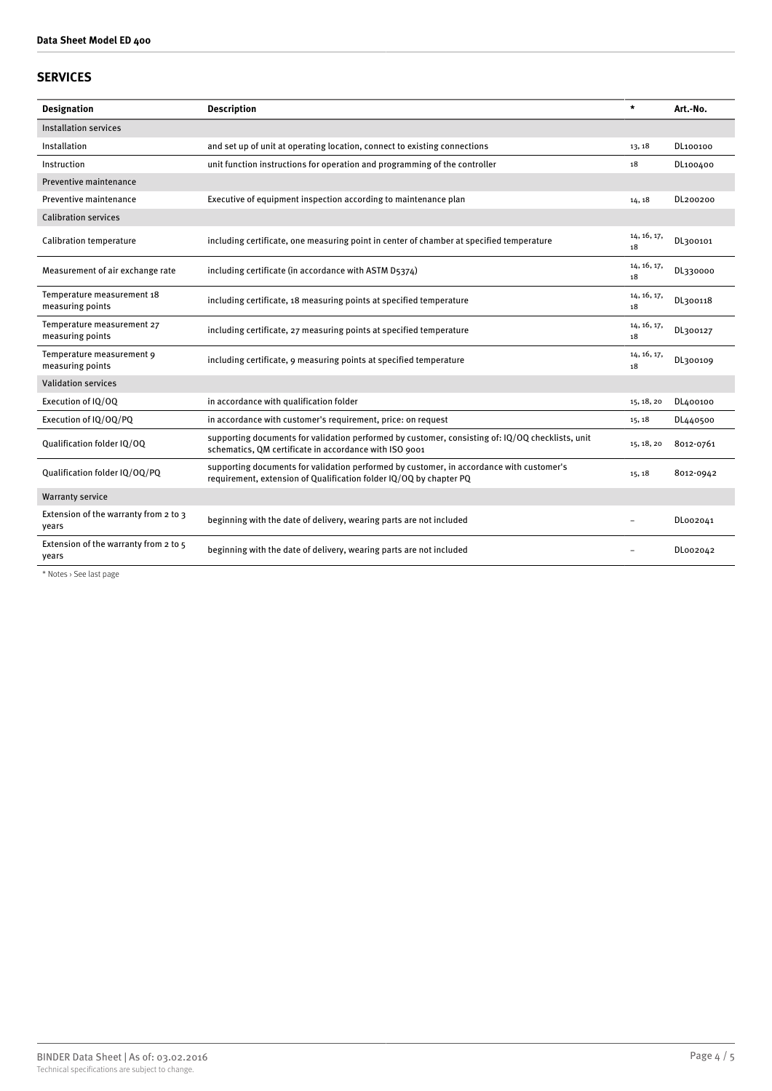# **SERVICES**

| <b>Designation</b>                             | <b>Description</b>                                                                                                                                             | $\star$           | Art.-No.  |
|------------------------------------------------|----------------------------------------------------------------------------------------------------------------------------------------------------------------|-------------------|-----------|
| Installation services                          |                                                                                                                                                                |                   |           |
| Installation                                   | and set up of unit at operating location, connect to existing connections                                                                                      | 13, 18            | DL100100  |
| Instruction                                    | unit function instructions for operation and programming of the controller                                                                                     | 18                | DL100400  |
| Preventive maintenance                         |                                                                                                                                                                |                   |           |
| Preventive maintenance                         | Executive of equipment inspection according to maintenance plan                                                                                                | 14, 18            | DL200200  |
| <b>Calibration services</b>                    |                                                                                                                                                                |                   |           |
| Calibration temperature                        | including certificate, one measuring point in center of chamber at specified temperature                                                                       | 14, 16, 17,<br>18 | DL300101  |
| Measurement of air exchange rate               | including certificate (in accordance with ASTM D5374)                                                                                                          | 14, 16, 17,<br>18 | DL330000  |
| Temperature measurement 18<br>measuring points | including certificate, 18 measuring points at specified temperature                                                                                            | 14, 16, 17,<br>18 | DL300118  |
| Temperature measurement 27<br>measuring points | including certificate, 27 measuring points at specified temperature                                                                                            | 14, 16, 17,<br>18 | DL300127  |
| Temperature measurement 9<br>measuring points  | including certificate, 9 measuring points at specified temperature                                                                                             | 14, 16, 17,<br>18 | DL300109  |
| <b>Validation services</b>                     |                                                                                                                                                                |                   |           |
| Execution of IQ/OQ                             | in accordance with qualification folder                                                                                                                        | 15, 18, 20        | DL400100  |
| Execution of IQ/OQ/PQ                          | in accordance with customer's requirement, price: on request                                                                                                   | 15, 18            | DL440500  |
| Qualification folder IQ/OQ                     | supporting documents for validation performed by customer, consisting of: IQ/OQ checklists, unit<br>schematics, QM certificate in accordance with ISO 9001     | 15, 18, 20        | 8012-0761 |
| Qualification folder IQ/OQ/PQ                  | supporting documents for validation performed by customer, in accordance with customer's<br>requirement, extension of Qualification folder IQ/OQ by chapter PQ | 15, 18            | 8012-0942 |
| <b>Warranty service</b>                        |                                                                                                                                                                |                   |           |
| Extension of the warranty from 2 to 3<br>years | beginning with the date of delivery, wearing parts are not included                                                                                            |                   | DL002041  |
| Extension of the warranty from 2 to 5<br>years | beginning with the date of delivery, wearing parts are not included                                                                                            |                   | DL002042  |

\* Notes › See last page